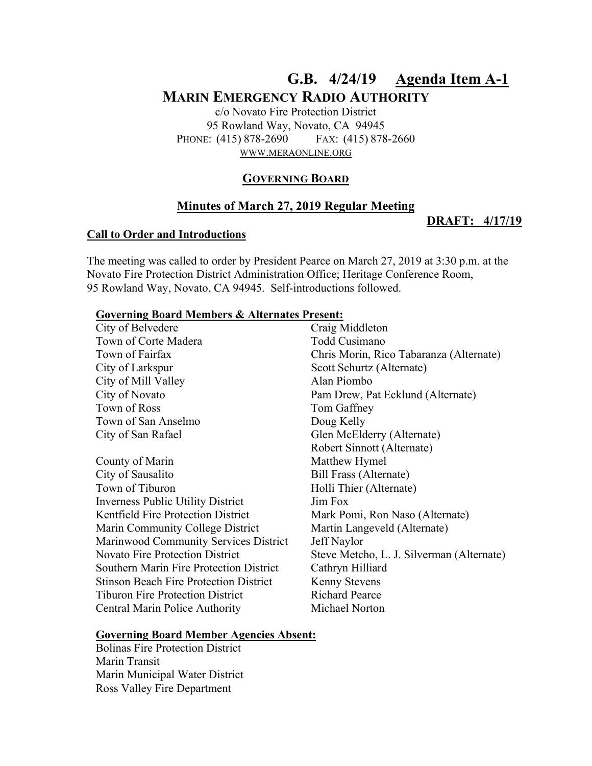# **G.B. 4/24/19 Agenda Item A-1 MARIN EMERGENCY RADIO AUTHORITY**

c/o Novato Fire Protection District 95 Rowland Way, Novato, CA 94945 PHONE: (415) 878-2690 FAX: (415) 878-2660 WWW.MERAONLINE.ORG

## **GOVERNING BOARD**

## **Minutes of March 27, 2019 Regular Meeting**

#### **DRAFT: 4/17/19**

#### **Call to Order and Introductions**

The meeting was called to order by President Pearce on March 27, 2019 at 3:30 p.m. at the Novato Fire Protection District Administration Office; Heritage Conference Room, 95 Rowland Way, Novato, CA 94945. Self-introductions followed.

#### **Governing Board Members & Alternates Present:**

| City of Belvedere                              | Craig Middleton                           |
|------------------------------------------------|-------------------------------------------|
| Town of Corte Madera                           | Todd Cusimano                             |
| Town of Fairfax                                | Chris Morin, Rico Tabaranza (Alternate)   |
| City of Larkspur                               | Scott Schurtz (Alternate)                 |
| City of Mill Valley                            | Alan Piombo                               |
| City of Novato                                 | Pam Drew, Pat Ecklund (Alternate)         |
| Town of Ross                                   | Tom Gaffney                               |
| Town of San Anselmo                            | Doug Kelly                                |
| City of San Rafael                             | Glen McElderry (Alternate)                |
|                                                | Robert Sinnott (Alternate)                |
| County of Marin                                | Matthew Hymel                             |
| City of Sausalito                              | Bill Frass (Alternate)                    |
| Town of Tiburon                                | Holli Thier (Alternate)                   |
| <b>Inverness Public Utility District</b>       | Jim Fox                                   |
| <b>Kentfield Fire Protection District</b>      | Mark Pomi, Ron Naso (Alternate)           |
| Marin Community College District               | Martin Langeveld (Alternate)              |
| Marinwood Community Services District          | Jeff Naylor                               |
| <b>Novato Fire Protection District</b>         | Steve Metcho, L. J. Silverman (Alternate) |
| <b>Southern Marin Fire Protection District</b> | Cathryn Hilliard                          |
| <b>Stinson Beach Fire Protection District</b>  | <b>Kenny Stevens</b>                      |
| <b>Tiburon Fire Protection District</b>        | <b>Richard Pearce</b>                     |
| Central Marin Police Authority                 | Michael Norton                            |
|                                                |                                           |

#### **Governing Board Member Agencies Absent:**

Bolinas Fire Protection District Marin Transit Marin Municipal Water District Ross Valley Fire Department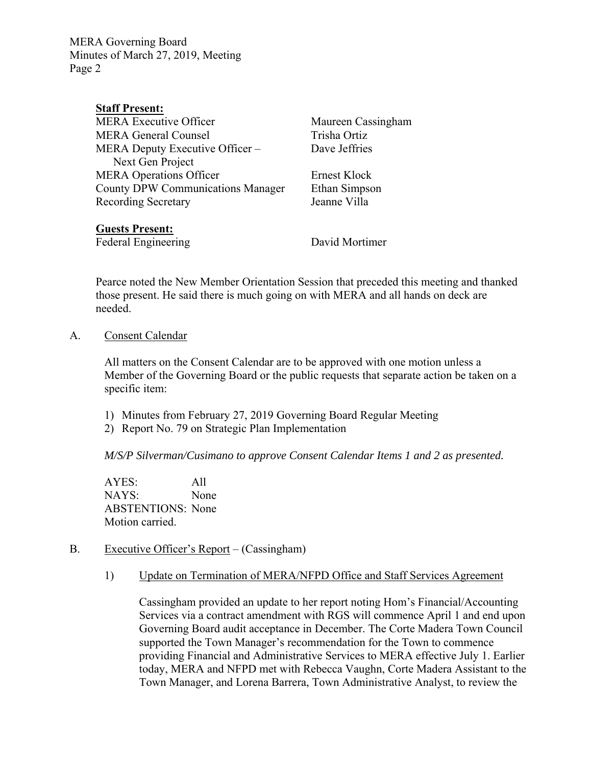## **Staff Present:**

MERA Executive Officer Maureen Cassingham MERA General Counsel Trisha Ortiz MERA Deputy Executive Officer – Next Gen Project MERA Operations Officer Ernest Klock County DPW Communications Manager Ethan Simpson Recording Secretary **Islamic Villa** 

Dave Jeffries

## **Guests Present:**

Federal Engineering David Mortimer

Pearce noted the New Member Orientation Session that preceded this meeting and thanked those present. He said there is much going on with MERA and all hands on deck are needed.

## A. Consent Calendar

All matters on the Consent Calendar are to be approved with one motion unless a Member of the Governing Board or the public requests that separate action be taken on a specific item:

- 1) Minutes from February 27, 2019 Governing Board Regular Meeting
- 2) Report No. 79 on Strategic Plan Implementation

*M/S/P Silverman/Cusimano to approve Consent Calendar Items 1 and 2 as presented.* 

AYES: All NAYS: None ABSTENTIONS: None Motion carried.

## B. Executive Officer's Report – (Cassingham)

1) Update on Termination of MERA/NFPD Office and Staff Services Agreement

Cassingham provided an update to her report noting Hom's Financial/Accounting Services via a contract amendment with RGS will commence April 1 and end upon Governing Board audit acceptance in December. The Corte Madera Town Council supported the Town Manager's recommendation for the Town to commence providing Financial and Administrative Services to MERA effective July 1. Earlier today, MERA and NFPD met with Rebecca Vaughn, Corte Madera Assistant to the Town Manager, and Lorena Barrera, Town Administrative Analyst, to review the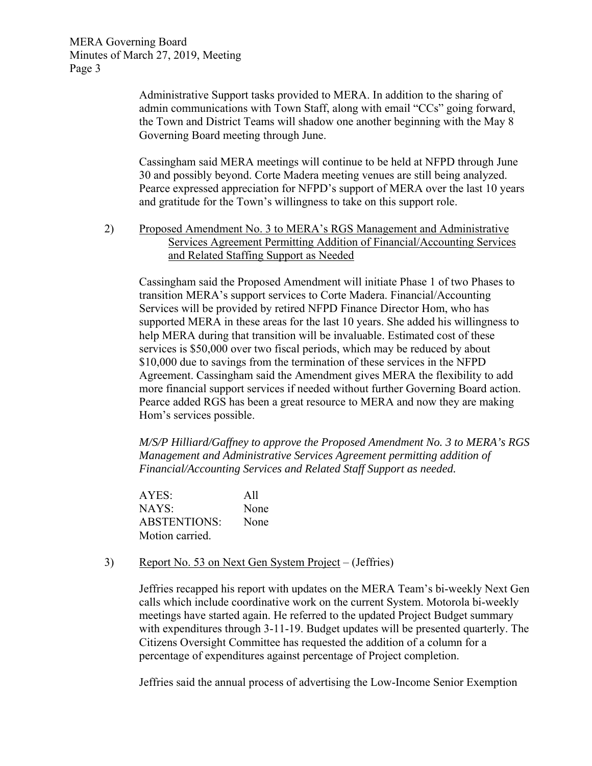> Administrative Support tasks provided to MERA. In addition to the sharing of admin communications with Town Staff, along with email "CCs" going forward, the Town and District Teams will shadow one another beginning with the May 8 Governing Board meeting through June.

Cassingham said MERA meetings will continue to be held at NFPD through June 30 and possibly beyond. Corte Madera meeting venues are still being analyzed. Pearce expressed appreciation for NFPD's support of MERA over the last 10 years and gratitude for the Town's willingness to take on this support role.

2) Proposed Amendment No. 3 to MERA's RGS Management and Administrative Services Agreement Permitting Addition of Financial/Accounting Services and Related Staffing Support as Needed

Cassingham said the Proposed Amendment will initiate Phase 1 of two Phases to transition MERA's support services to Corte Madera. Financial/Accounting Services will be provided by retired NFPD Finance Director Hom, who has supported MERA in these areas for the last 10 years. She added his willingness to help MERA during that transition will be invaluable. Estimated cost of these services is \$50,000 over two fiscal periods, which may be reduced by about \$10,000 due to savings from the termination of these services in the NFPD Agreement. Cassingham said the Amendment gives MERA the flexibility to add more financial support services if needed without further Governing Board action. Pearce added RGS has been a great resource to MERA and now they are making Hom's services possible.

*M/S/P Hilliard/Gaffney to approve the Proposed Amendment No. 3 to MERA's RGS Management and Administrative Services Agreement permitting addition of Financial/Accounting Services and Related Staff Support as needed.* 

AYES: All NAYS: None ABSTENTIONS: None Motion carried.

3) Report No. 53 on Next Gen System Project – (Jeffries)

Jeffries recapped his report with updates on the MERA Team's bi-weekly Next Gen calls which include coordinative work on the current System. Motorola bi-weekly meetings have started again. He referred to the updated Project Budget summary with expenditures through 3-11-19. Budget updates will be presented quarterly. The Citizens Oversight Committee has requested the addition of a column for a percentage of expenditures against percentage of Project completion.

Jeffries said the annual process of advertising the Low-Income Senior Exemption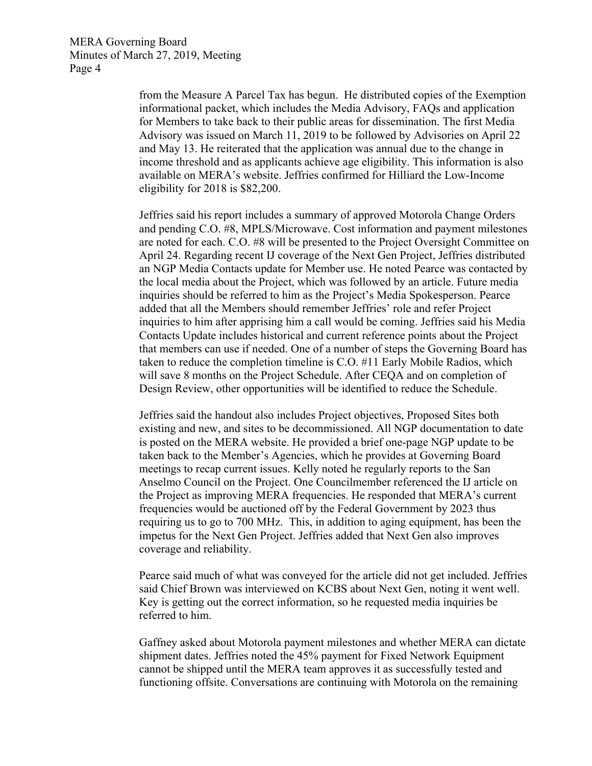> from the Measure A Parcel Tax has begun.He distributed copies of the Exemption informational packet, which includes the Media Advisory, FAQs and application for Members to take back to their public areas for dissemination. The first Media Advisory was issued on March 11, 2019 to be followed by Advisories on April 22 and May 13. He reiterated that the application was annual due to the change in income threshold and as applicants achieve age eligibility. This information is also available on MERA's website. Jeffries confirmed for Hilliard the Low-Income eligibility for 2018 is \$82,200.

> Jeffries said his report includes a summary of approved Motorola Change Orders and pending C.O. #8, MPLS/Microwave. Cost information and payment milestones are noted for each. C.O. #8 will be presented to the Project Oversight Committee on April 24. Regarding recent IJ coverage of the Next Gen Project, Jeffries distributed an NGP Media Contacts update for Member use. He noted Pearce was contacted by the local media about the Project, which was followed by an article. Future media inquiries should be referred to him as the Project's Media Spokesperson. Pearce added that all the Members should remember Jeffries' role and refer Project inquiries to him after apprising him a call would be coming. Jeffries said his Media Contacts Update includes historical and current reference points about the Project that members can use if needed. One of a number of steps the Governing Board has taken to reduce the completion timeline is C.O. #11 Early Mobile Radios, which will save 8 months on the Project Schedule. After CEQA and on completion of Design Review, other opportunities will be identified to reduce the Schedule.

Jeffries said the handout also includes Project objectives, Proposed Sites both existing and new, and sites to be decommissioned. All NGP documentation to date is posted on the MERA website. He provided a brief one-page NGP update to be taken back to the Member's Agencies, which he provides at Governing Board meetings to recap current issues. Kelly noted he regularly reports to the San Anselmo Council on the Project. One Councilmember referenced the IJ article on the Project as improving MERA frequencies. He responded that MERA's current frequencies would be auctioned off by the Federal Government by 2023 thus requiring us to go to 700 MHz. This, in addition to aging equipment, has been the impetus for the Next Gen Project. Jeffries added that Next Gen also improves coverage and reliability.

Pearce said much of what was conveyed for the article did not get included. Jeffries said Chief Brown was interviewed on KCBS about Next Gen, noting it went well. Key is getting out the correct information, so he requested media inquiries be referred to him.

Gaffney asked about Motorola payment milestones and whether MERA can dictate shipment dates. Jeffries noted the 45% payment for Fixed Network Equipment cannot be shipped until the MERA team approves it as successfully tested and functioning offsite. Conversations are continuing with Motorola on the remaining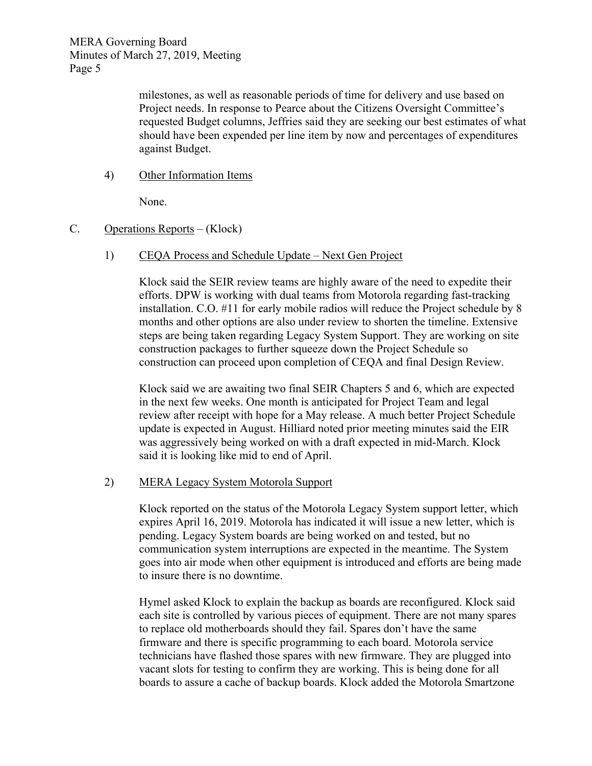milestones, as well as reasonable periods of time for delivery and use based on Project needs. In response to Pearce about the Citizens Oversight Committee's requested Budget columns, Jeffries said they are seeking our best estimates of what should have been expended per line item by now and percentages of expenditures against Budget.

4) Other Information Items

None.

## C. Operations Reports – (Klock)

1) CEQA Process and Schedule Update – Next Gen Project

Klock said the SEIR review teams are highly aware of the need to expedite their efforts. DPW is working with dual teams from Motorola regarding fast-tracking installation. C.O. #11 for early mobile radios will reduce the Project schedule by 8 months and other options are also under review to shorten the timeline. Extensive steps are being taken regarding Legacy System Support. They are working on site construction packages to further squeeze down the Project Schedule so construction can proceed upon completion of CEQA and final Design Review.

Klock said we are awaiting two final SEIR Chapters 5 and 6, which are expected in the next few weeks. One month is anticipated for Project Team and legal review after receipt with hope for a May release. A much better Project Schedule update is expected in August. Hilliard noted prior meeting minutes said the EIR was aggressively being worked on with a draft expected in mid-March. Klock said it is looking like mid to end of April.

## 2) MERA Legacy System Motorola Support

Klock reported on the status of the Motorola Legacy System support letter, which expires April 16, 2019. Motorola has indicated it will issue a new letter, which is pending. Legacy System boards are being worked on and tested, but no communication system interruptions are expected in the meantime. The System goes into air mode when other equipment is introduced and efforts are being made to insure there is no downtime.

Hymel asked Klock to explain the backup as boards are reconfigured. Klock said each site is controlled by various pieces of equipment. There are not many spares to replace old motherboards should they fail. Spares don't have the same firmware and there is specific programming to each board. Motorola service technicians have flashed those spares with new firmware. They are plugged into vacant slots for testing to confirm they are working. This is being done for all boards to assure a cache of backup boards. Klock added the Motorola Smartzone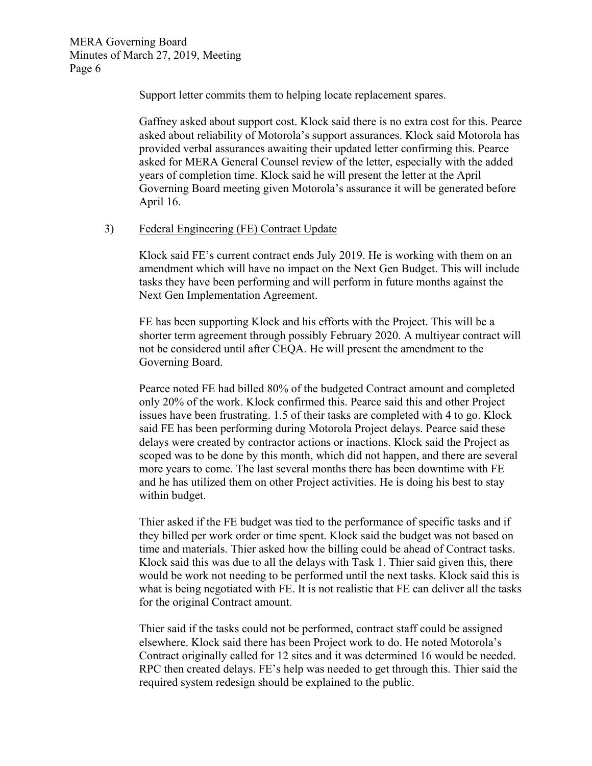Support letter commits them to helping locate replacement spares.

Gaffney asked about support cost. Klock said there is no extra cost for this. Pearce asked about reliability of Motorola's support assurances. Klock said Motorola has provided verbal assurances awaiting their updated letter confirming this. Pearce asked for MERA General Counsel review of the letter, especially with the added years of completion time. Klock said he will present the letter at the April Governing Board meeting given Motorola's assurance it will be generated before April 16.

#### 3) Federal Engineering (FE) Contract Update

Klock said FE's current contract ends July 2019. He is working with them on an amendment which will have no impact on the Next Gen Budget. This will include tasks they have been performing and will perform in future months against the Next Gen Implementation Agreement.

FE has been supporting Klock and his efforts with the Project. This will be a shorter term agreement through possibly February 2020. A multiyear contract will not be considered until after CEQA. He will present the amendment to the Governing Board.

Pearce noted FE had billed 80% of the budgeted Contract amount and completed only 20% of the work. Klock confirmed this. Pearce said this and other Project issues have been frustrating. 1.5 of their tasks are completed with 4 to go. Klock said FE has been performing during Motorola Project delays. Pearce said these delays were created by contractor actions or inactions. Klock said the Project as scoped was to be done by this month, which did not happen, and there are several more years to come. The last several months there has been downtime with FE and he has utilized them on other Project activities. He is doing his best to stay within budget.

Thier asked if the FE budget was tied to the performance of specific tasks and if they billed per work order or time spent. Klock said the budget was not based on time and materials. Thier asked how the billing could be ahead of Contract tasks. Klock said this was due to all the delays with Task 1. Thier said given this, there would be work not needing to be performed until the next tasks. Klock said this is what is being negotiated with FE. It is not realistic that FE can deliver all the tasks for the original Contract amount.

Thier said if the tasks could not be performed, contract staff could be assigned elsewhere. Klock said there has been Project work to do. He noted Motorola's Contract originally called for 12 sites and it was determined 16 would be needed. RPC then created delays. FE's help was needed to get through this. Thier said the required system redesign should be explained to the public.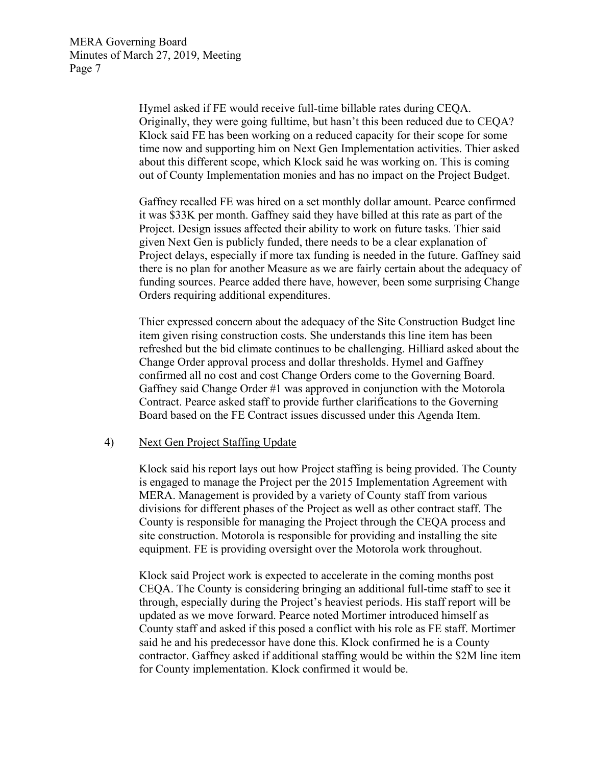Hymel asked if FE would receive full-time billable rates during CEQA. Originally, they were going fulltime, but hasn't this been reduced due to CEQA? Klock said FE has been working on a reduced capacity for their scope for some time now and supporting him on Next Gen Implementation activities. Thier asked about this different scope, which Klock said he was working on. This is coming out of County Implementation monies and has no impact on the Project Budget.

Gaffney recalled FE was hired on a set monthly dollar amount. Pearce confirmed it was \$33K per month. Gaffney said they have billed at this rate as part of the Project. Design issues affected their ability to work on future tasks. Thier said given Next Gen is publicly funded, there needs to be a clear explanation of Project delays, especially if more tax funding is needed in the future. Gaffney said there is no plan for another Measure as we are fairly certain about the adequacy of funding sources. Pearce added there have, however, been some surprising Change Orders requiring additional expenditures.

Thier expressed concern about the adequacy of the Site Construction Budget line item given rising construction costs. She understands this line item has been refreshed but the bid climate continues to be challenging. Hilliard asked about the Change Order approval process and dollar thresholds. Hymel and Gaffney confirmed all no cost and cost Change Orders come to the Governing Board. Gaffney said Change Order #1 was approved in conjunction with the Motorola Contract. Pearce asked staff to provide further clarifications to the Governing Board based on the FE Contract issues discussed under this Agenda Item.

#### 4) Next Gen Project Staffing Update

Klock said his report lays out how Project staffing is being provided. The County is engaged to manage the Project per the 2015 Implementation Agreement with MERA. Management is provided by a variety of County staff from various divisions for different phases of the Project as well as other contract staff. The County is responsible for managing the Project through the CEQA process and site construction. Motorola is responsible for providing and installing the site equipment. FE is providing oversight over the Motorola work throughout.

Klock said Project work is expected to accelerate in the coming months post CEQA. The County is considering bringing an additional full-time staff to see it through, especially during the Project's heaviest periods. His staff report will be updated as we move forward. Pearce noted Mortimer introduced himself as County staff and asked if this posed a conflict with his role as FE staff. Mortimer said he and his predecessor have done this. Klock confirmed he is a County contractor. Gaffney asked if additional staffing would be within the \$2M line item for County implementation. Klock confirmed it would be.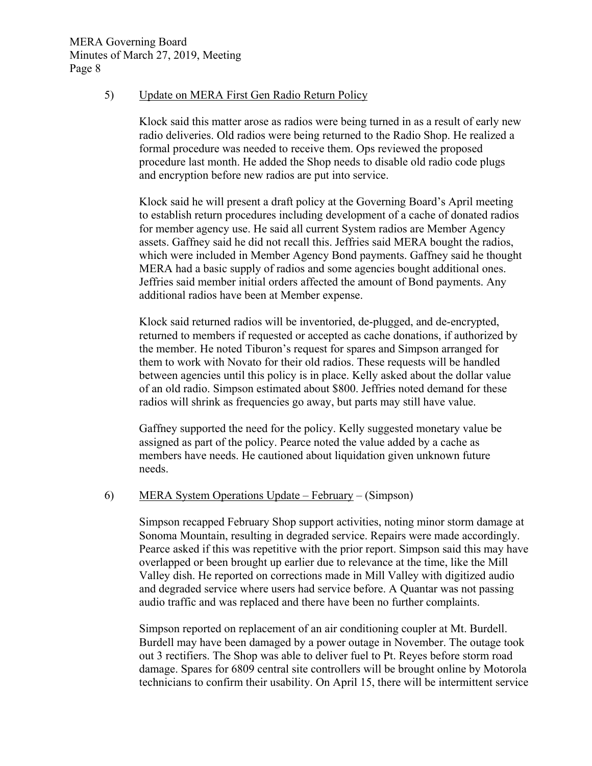#### 5) Update on MERA First Gen Radio Return Policy

Klock said this matter arose as radios were being turned in as a result of early new radio deliveries. Old radios were being returned to the Radio Shop. He realized a formal procedure was needed to receive them. Ops reviewed the proposed procedure last month. He added the Shop needs to disable old radio code plugs and encryption before new radios are put into service.

Klock said he will present a draft policy at the Governing Board's April meeting to establish return procedures including development of a cache of donated radios for member agency use. He said all current System radios are Member Agency assets. Gaffney said he did not recall this. Jeffries said MERA bought the radios, which were included in Member Agency Bond payments. Gaffney said he thought MERA had a basic supply of radios and some agencies bought additional ones. Jeffries said member initial orders affected the amount of Bond payments. Any additional radios have been at Member expense.

Klock said returned radios will be inventoried, de-plugged, and de-encrypted, returned to members if requested or accepted as cache donations, if authorized by the member. He noted Tiburon's request for spares and Simpson arranged for them to work with Novato for their old radios. These requests will be handled between agencies until this policy is in place. Kelly asked about the dollar value of an old radio. Simpson estimated about \$800. Jeffries noted demand for these radios will shrink as frequencies go away, but parts may still have value.

Gaffney supported the need for the policy. Kelly suggested monetary value be assigned as part of the policy. Pearce noted the value added by a cache as members have needs. He cautioned about liquidation given unknown future needs.

#### 6) MERA System Operations Update – February – (Simpson)

Simpson recapped February Shop support activities, noting minor storm damage at Sonoma Mountain, resulting in degraded service. Repairs were made accordingly. Pearce asked if this was repetitive with the prior report. Simpson said this may have overlapped or been brought up earlier due to relevance at the time, like the Mill Valley dish. He reported on corrections made in Mill Valley with digitized audio and degraded service where users had service before. A Quantar was not passing audio traffic and was replaced and there have been no further complaints.

Simpson reported on replacement of an air conditioning coupler at Mt. Burdell. Burdell may have been damaged by a power outage in November. The outage took out 3 rectifiers. The Shop was able to deliver fuel to Pt. Reyes before storm road damage. Spares for 6809 central site controllers will be brought online by Motorola technicians to confirm their usability. On April 15, there will be intermittent service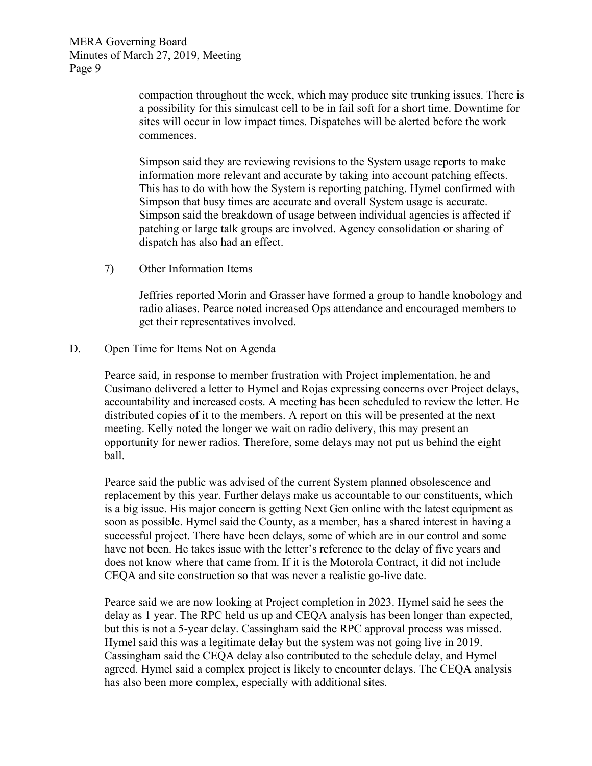> compaction throughout the week, which may produce site trunking issues. There is a possibility for this simulcast cell to be in fail soft for a short time. Downtime for sites will occur in low impact times. Dispatches will be alerted before the work commences.

Simpson said they are reviewing revisions to the System usage reports to make information more relevant and accurate by taking into account patching effects. This has to do with how the System is reporting patching. Hymel confirmed with Simpson that busy times are accurate and overall System usage is accurate. Simpson said the breakdown of usage between individual agencies is affected if patching or large talk groups are involved. Agency consolidation or sharing of dispatch has also had an effect.

#### 7) Other Information Items

Jeffries reported Morin and Grasser have formed a group to handle knobology and radio aliases. Pearce noted increased Ops attendance and encouraged members to get their representatives involved.

#### D. Open Time for Items Not on Agenda

Pearce said, in response to member frustration with Project implementation, he and Cusimano delivered a letter to Hymel and Rojas expressing concerns over Project delays, accountability and increased costs. A meeting has been scheduled to review the letter. He distributed copies of it to the members. A report on this will be presented at the next meeting. Kelly noted the longer we wait on radio delivery, this may present an opportunity for newer radios. Therefore, some delays may not put us behind the eight ball.

Pearce said the public was advised of the current System planned obsolescence and replacement by this year. Further delays make us accountable to our constituents, which is a big issue. His major concern is getting Next Gen online with the latest equipment as soon as possible. Hymel said the County, as a member, has a shared interest in having a successful project. There have been delays, some of which are in our control and some have not been. He takes issue with the letter's reference to the delay of five years and does not know where that came from. If it is the Motorola Contract, it did not include CEQA and site construction so that was never a realistic go-live date.

Pearce said we are now looking at Project completion in 2023. Hymel said he sees the delay as 1 year. The RPC held us up and CEQA analysis has been longer than expected, but this is not a 5-year delay. Cassingham said the RPC approval process was missed. Hymel said this was a legitimate delay but the system was not going live in 2019. Cassingham said the CEQA delay also contributed to the schedule delay, and Hymel agreed. Hymel said a complex project is likely to encounter delays. The CEQA analysis has also been more complex, especially with additional sites.